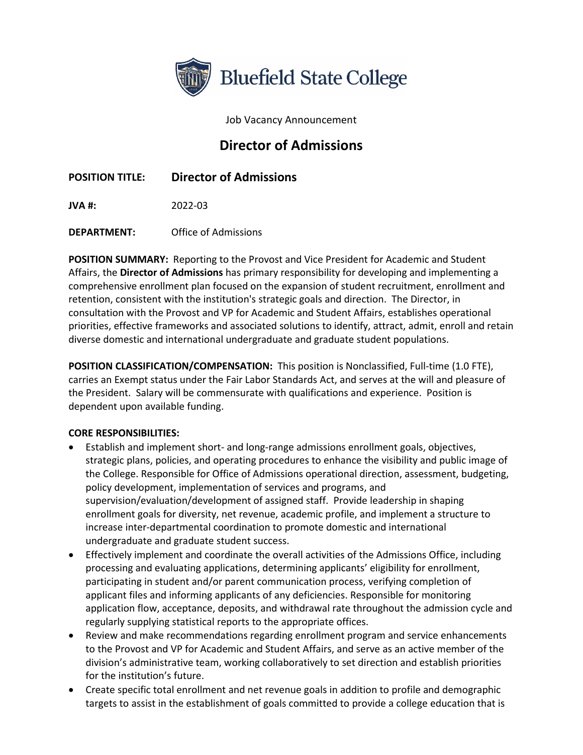

Job Vacancy Announcement

# **Director of Admissions**

# **POSITION TITLE: Director of Admissions**

**JVA #:** 2022-03

**DEPARTMENT:** Office of Admissions

**POSITION SUMMARY:** Reporting to the Provost and Vice President for Academic and Student Affairs, the **Director of Admissions** has primary responsibility for developing and implementing a comprehensive enrollment plan focused on the expansion of student recruitment, enrollment and retention, consistent with the institution's strategic goals and direction. The Director, in consultation with the Provost and VP for Academic and Student Affairs, establishes operational priorities, effective frameworks and associated solutions to identify, attract, admit, enroll and retain diverse domestic and international undergraduate and graduate student populations.

**POSITION CLASSIFICATION/COMPENSATION:** This position is Nonclassified, Full-time (1.0 FTE), carries an Exempt status under the Fair Labor Standards Act, and serves at the will and pleasure of the President. Salary will be commensurate with qualifications and experience. Position is dependent upon available funding.

#### **CORE RESPONSIBILITIES:**

- Establish and implement short- and long-range admissions enrollment goals, objectives, strategic plans, policies, and operating procedures to enhance the visibility and public image of the College. Responsible for Office of Admissions operational direction, assessment, budgeting, policy development, implementation of services and programs, and supervision/evaluation/development of assigned staff. Provide leadership in shaping enrollment goals for diversity, net revenue, academic profile, and implement a structure to increase inter-departmental coordination to promote domestic and international undergraduate and graduate student success.
- Effectively implement and coordinate the overall activities of the Admissions Office, including processing and evaluating applications, determining applicants' eligibility for enrollment, participating in student and/or parent communication process, verifying completion of applicant files and informing applicants of any deficiencies. Responsible for monitoring application flow, acceptance, deposits, and withdrawal rate throughout the admission cycle and regularly supplying statistical reports to the appropriate offices.
- Review and make recommendations regarding enrollment program and service enhancements to the Provost and VP for Academic and Student Affairs, and serve as an active member of the division's administrative team, working collaboratively to set direction and establish priorities for the institution's future.
- Create specific total enrollment and net revenue goals in addition to profile and demographic targets to assist in the establishment of goals committed to provide a college education that is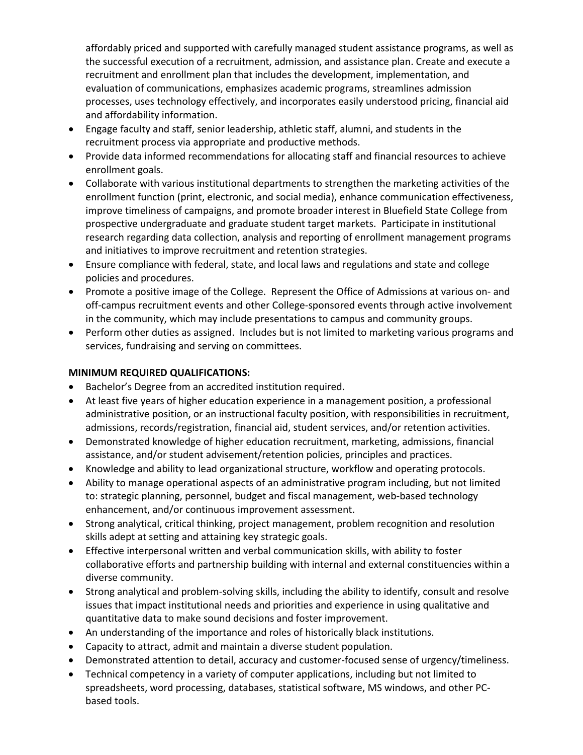affordably priced and supported with carefully managed student assistance programs, as well as the successful execution of a recruitment, admission, and assistance plan. Create and execute a recruitment and enrollment plan that includes the development, implementation, and evaluation of communications, emphasizes academic programs, streamlines admission processes, uses technology effectively, and incorporates easily understood pricing, financial aid and affordability information.

- Engage faculty and staff, senior leadership, athletic staff, alumni, and students in the recruitment process via appropriate and productive methods.
- Provide data informed recommendations for allocating staff and financial resources to achieve enrollment goals.
- Collaborate with various institutional departments to strengthen the marketing activities of the enrollment function (print, electronic, and social media), enhance communication effectiveness, improve timeliness of campaigns, and promote broader interest in Bluefield State College from prospective undergraduate and graduate student target markets. Participate in institutional research regarding data collection, analysis and reporting of enrollment management programs and initiatives to improve recruitment and retention strategies.
- Ensure compliance with federal, state, and local laws and regulations and state and college policies and procedures.
- Promote a positive image of the College. Represent the Office of Admissions at various on- and off-campus recruitment events and other College-sponsored events through active involvement in the community, which may include presentations to campus and community groups.
- Perform other duties as assigned. Includes but is not limited to marketing various programs and services, fundraising and serving on committees.

## **MINIMUM REQUIRED QUALIFICATIONS:**

- Bachelor's Degree from an accredited institution required.
- At least five years of higher education experience in a management position, a professional administrative position, or an instructional faculty position, with responsibilities in recruitment, admissions, records/registration, financial aid, student services, and/or retention activities.
- Demonstrated knowledge of higher education recruitment, marketing, admissions, financial assistance, and/or student advisement/retention policies, principles and practices.
- Knowledge and ability to lead organizational structure, workflow and operating protocols.
- Ability to manage operational aspects of an administrative program including, but not limited to: strategic planning, personnel, budget and fiscal management, web-based technology enhancement, and/or continuous improvement assessment.
- Strong analytical, critical thinking, project management, problem recognition and resolution skills adept at setting and attaining key strategic goals.
- Effective interpersonal written and verbal communication skills, with ability to foster collaborative efforts and partnership building with internal and external constituencies within a diverse community.
- Strong analytical and problem-solving skills, including the ability to identify, consult and resolve issues that impact institutional needs and priorities and experience in using qualitative and quantitative data to make sound decisions and foster improvement.
- An understanding of the importance and roles of historically black institutions.
- Capacity to attract, admit and maintain a diverse student population.
- Demonstrated attention to detail, accuracy and customer-focused sense of urgency/timeliness.
- Technical competency in a variety of computer applications, including but not limited to spreadsheets, word processing, databases, statistical software, MS windows, and other PCbased tools.